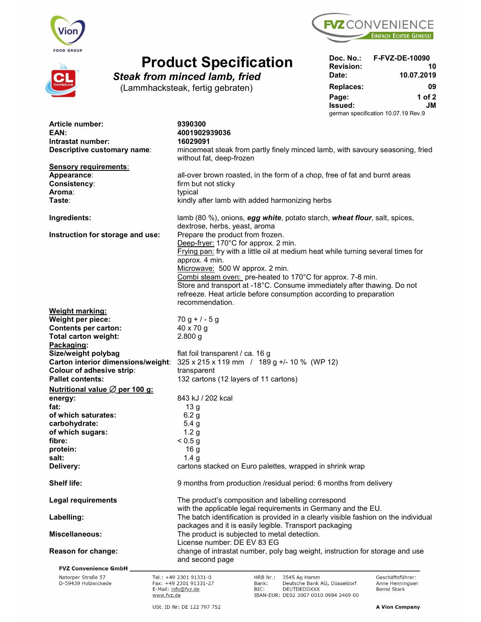





## **Product Specification** Doc. No.:

|                                      |                  | Doc. No.: F-FVZ-DE-10090            |
|--------------------------------------|------------------|-------------------------------------|
| <b>Product Specification</b>         | <b>Revision:</b> | 10                                  |
| <b>Steak from minced lamb, fried</b> | Date:            | 10.07.2019                          |
| (Lammhacksteak, fertig gebraten)     | <b>Replaces:</b> | 09                                  |
|                                      | Page:            | 1 of $2$                            |
|                                      | Issued:          | JM                                  |
|                                      |                  | german specification 10.07.19 Rev.9 |

| Article number:<br>EAN:<br>Intrastat number:<br>Descriptive customary name:     | 9390300<br>4001902939036<br>16029091<br>mincemeat steak from partly finely minced lamb, with savoury seasoning, fried                                                                                                                                                                                                                                                                                                                               |  |  |  |  |
|---------------------------------------------------------------------------------|-----------------------------------------------------------------------------------------------------------------------------------------------------------------------------------------------------------------------------------------------------------------------------------------------------------------------------------------------------------------------------------------------------------------------------------------------------|--|--|--|--|
| <b>Sensory requirements:</b><br>Appearance:<br>Consistency:<br>Aroma:<br>Taste: | without fat, deep-frozen<br>all-over brown roasted, in the form of a chop, free of fat and burnt areas<br>firm but not sticky<br>typical<br>kindly after lamb with added harmonizing herbs                                                                                                                                                                                                                                                          |  |  |  |  |
| Ingredients:                                                                    | lamb (80 %), onions, egg white, potato starch, wheat flour, salt, spices,<br>dextrose, herbs, yeast, aroma                                                                                                                                                                                                                                                                                                                                          |  |  |  |  |
| Instruction for storage and use:                                                | Prepare the product from frozen.<br>Deep-fryer: 170°C for approx. 2 min.<br>Frying pan: fry with a little oil at medium heat while turning several times for<br>approx. 4 min.<br>Microwave: 500 W approx. 2 min.<br>Combi steam oven: pre-heated to 170°C for approx. 7-8 min.<br>Store and transport at -18°C. Consume immediately after thawing. Do not<br>refreeze. Heat article before consumption according to preparation<br>recommendation. |  |  |  |  |
| <b>Weight marking:</b>                                                          |                                                                                                                                                                                                                                                                                                                                                                                                                                                     |  |  |  |  |
| Weight per piece:                                                               | $70 g + 7 - 5 g$                                                                                                                                                                                                                                                                                                                                                                                                                                    |  |  |  |  |
| <b>Contents per carton:</b>                                                     | 40 x 70 g                                                                                                                                                                                                                                                                                                                                                                                                                                           |  |  |  |  |
| <b>Total carton weight:</b>                                                     | $2.800$ g                                                                                                                                                                                                                                                                                                                                                                                                                                           |  |  |  |  |
| Packaging:                                                                      |                                                                                                                                                                                                                                                                                                                                                                                                                                                     |  |  |  |  |
| Size/weight polybag<br>Carton interior dimensions/weight:                       | flat foil transparent / ca. 16 g                                                                                                                                                                                                                                                                                                                                                                                                                    |  |  |  |  |
| Colour of adhesive strip:                                                       | 325 x 215 x 119 mm / 189 g +/- 10 % (WP 12)                                                                                                                                                                                                                                                                                                                                                                                                         |  |  |  |  |
| <b>Pallet contents:</b>                                                         | transparent<br>132 cartons (12 layers of 11 cartons)                                                                                                                                                                                                                                                                                                                                                                                                |  |  |  |  |
| <u>Nutritional value <math>\varnothing</math> per 100 g:</u>                    |                                                                                                                                                                                                                                                                                                                                                                                                                                                     |  |  |  |  |
|                                                                                 | 843 kJ / 202 kcal                                                                                                                                                                                                                                                                                                                                                                                                                                   |  |  |  |  |
| energy:<br>fat:                                                                 | 13 <sub>g</sub>                                                                                                                                                                                                                                                                                                                                                                                                                                     |  |  |  |  |
| of which saturates:                                                             | 6.2 <sub>g</sub>                                                                                                                                                                                                                                                                                                                                                                                                                                    |  |  |  |  |
| carbohydrate:                                                                   | 5.4 <sub>g</sub>                                                                                                                                                                                                                                                                                                                                                                                                                                    |  |  |  |  |
| of which sugars:                                                                | 1.2 <sub>g</sub>                                                                                                                                                                                                                                                                                                                                                                                                                                    |  |  |  |  |
| fibre:                                                                          | < 0.5 g                                                                                                                                                                                                                                                                                                                                                                                                                                             |  |  |  |  |
| protein:                                                                        | 16 <sub>g</sub>                                                                                                                                                                                                                                                                                                                                                                                                                                     |  |  |  |  |
| salt:                                                                           | 1.4 <sub>g</sub>                                                                                                                                                                                                                                                                                                                                                                                                                                    |  |  |  |  |
| Delivery:                                                                       | cartons stacked on Euro palettes, wrapped in shrink wrap                                                                                                                                                                                                                                                                                                                                                                                            |  |  |  |  |
| <b>Shelf life:</b>                                                              | 9 months from production /residual period: 6 months from delivery                                                                                                                                                                                                                                                                                                                                                                                   |  |  |  |  |
| <b>Legal requirements</b>                                                       | The product's composition and labelling correspond<br>with the applicable legal requirements in Germany and the EU.                                                                                                                                                                                                                                                                                                                                 |  |  |  |  |
| Labelling:                                                                      | The batch identification is provided in a clearly visible fashion on the individual<br>packages and it is easily legible. Transport packaging                                                                                                                                                                                                                                                                                                       |  |  |  |  |
| <b>Miscellaneous:</b>                                                           | The product is subjected to metal detection.<br>License number: DE EV 83 EG                                                                                                                                                                                                                                                                                                                                                                         |  |  |  |  |
| Reason for change:                                                              | change of intrastat number, poly bag weight, instruction for storage and use                                                                                                                                                                                                                                                                                                                                                                        |  |  |  |  |
|                                                                                 | and second page                                                                                                                                                                                                                                                                                                                                                                                                                                     |  |  |  |  |
| <b>FVZ Convenience GmbH</b><br>Natorper Straße 57                               | Tel.: +49 2301 91331-0<br>HRB Nr.:<br>3545 Ag Hamm<br>Geschäftsführer:                                                                                                                                                                                                                                                                                                                                                                              |  |  |  |  |
| D-59439 Holzwickede<br>www.fvz.de                                               | Fax: +49 2301 91331-27<br>Deutsche Bank AG, Düsseldorf<br>Anne Henningsen<br>Bank:<br>E-Mail: info@fvz.de<br>BIC:<br>DEUTDEDDXXX<br>Bernd Stark<br>IBAN-EUR: DE02 3007 0010 0984 2469 00                                                                                                                                                                                                                                                            |  |  |  |  |